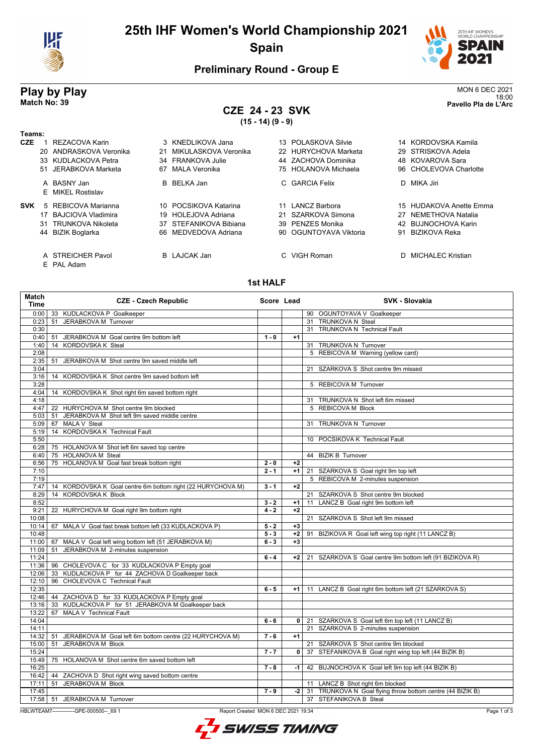

# **25th IHF Women's World Championship 2021 Spain**



## **Preliminary Round - Group E**

# **CZE 24 - 23 SVK**

**(15 - 14) (9 - 9)**

| <b>Play by Play</b> | <b>MON 6 DEC 2021</b> |
|---------------------|-----------------------|
|                     | 18:00                 |
| Match No: 39        | Pavello Pla de L'Arc  |

### **Teams:**

| <b>CZE</b> | REZACOVA Karin<br>20 ANDRASKOVA Veronika<br>33 KUDLACKOVA Petra<br>51 JERABKOVA Marketa   | 3 KNEDLIKOVA Jana<br>MIKULASKOVA Veronika<br>21<br>34 FRANKOVA Julie<br>67 MALA Veronika       | 13 POLASKOVA Silvie<br>22 HURYCHOVA Marketa<br>44 ZACHOVA Dominika<br>75 HOLANOVA Michaela | 14 KORDOVSKA Kamila<br>29 STRISKOVA Adela<br>48 KOVAROVA Sara<br>96 CHOLEVOVA Charlotte    |
|------------|-------------------------------------------------------------------------------------------|------------------------------------------------------------------------------------------------|--------------------------------------------------------------------------------------------|--------------------------------------------------------------------------------------------|
|            | A BASNY Jan<br>E MIKEL Rostislav                                                          | B BELKA Jan                                                                                    | C GARCIA Felix                                                                             | D MIKA Jiri                                                                                |
| <b>SVK</b> | 5 REBICOVA Marianna<br>17 BAJCIOVA Vladimira<br>31 TRUNKOVA Nikoleta<br>44 BIZIK Boglarka | 10 POCSIKOVA Katarina<br>19 HOLEJOVA Adriana<br>37 STEFANIKOVA Bibiana<br>66 MEDVEDOVA Adriana | 11 LANCZ Barbora<br>21 SZARKOVA Simona<br>39 PENZES Monika<br>90 OGUNTOYAVA Viktoria       | 15 HUDAKOVA Anette Emma<br>27 NEMETHOVA Natalia<br>42 BUJNOCHOVA Karin<br>91 BIZIKOVA Reka |
|            | A STREICHER Pavol                                                                         | <b>B</b> LAJCAK Jan                                                                            | C VIGH Roman                                                                               | D MICHALEC Kristian                                                                        |

E PAL Adam

## **1st HALF**

| <b>Match</b><br>Time | <b>CZE - Czech Republic</b>                                 | Score Lead |              | <b>SVK - Slovakia</b>                                         |
|----------------------|-------------------------------------------------------------|------------|--------------|---------------------------------------------------------------|
| 0:00                 | 33 KUDLACKOVA P Goalkeeper                                  |            |              | 90 OGUNTOYAVA V Goalkeeper                                    |
| 0:23                 | 51 JERABKOVA M Turnover                                     |            |              | 31 TRUNKOVA N Steal                                           |
| 0:30                 |                                                             |            |              | 31 TRUNKOVA N Technical Fault                                 |
| 0:40                 | JERABKOVA M Goal centre 9m bottom left<br>51                | $1 - 0$    | $+1$         |                                                               |
| 1:40                 | 14 KORDOVSKA K Steal                                        |            |              | 31 TRUNKOVA N Turnover                                        |
| 2:08                 |                                                             |            |              | 5 REBICOVA M Warning (yellow card)                            |
| 2:35                 | JERABKOVA M Shot centre 9m saved middle left<br>51          |            |              |                                                               |
| 3:04                 |                                                             |            |              | 21 SZARKOVA S Shot centre 9m missed                           |
| 3:16                 | 14 KORDOVSKA K Shot centre 9m saved bottom left             |            |              |                                                               |
| 3:28                 |                                                             |            |              | 5 REBICOVA M Turnover                                         |
| 4:04                 | 14 KORDOVSKA K Shot right 6m saved bottom right             |            |              |                                                               |
| 4:18                 |                                                             |            |              | 31 TRUNKOVA N Shot left 6m missed                             |
| 4:47                 | 22 HURYCHOVA M Shot centre 9m blocked                       |            |              | 5 REBICOVA M Block                                            |
| 5:03                 | JERABKOVA M Shot left 9m saved middle centre<br>51          |            |              |                                                               |
| 5:09                 | 67 MALA V Steal                                             |            |              | 31 TRUNKOVA N Turnover                                        |
| 5:19                 | KORDOVSKA K Technical Fault<br>14                           |            |              |                                                               |
| 5:50                 |                                                             |            |              | 10 POCSIKOVA K Technical Fault                                |
| 6:28                 | 75 HOLANOVA M Shot left 6m saved top centre                 |            |              |                                                               |
| 6:40                 | 75 HOLANOVA M Steal                                         |            |              | 44 BIZIK B Turnover                                           |
| 6:56                 | 75 HOLANOVA M Goal fast break bottom right                  | $2 - 0$    | $+2$         |                                                               |
| 7:10                 |                                                             | $2 - 1$    | $+1$         | 21 SZARKOVA S Goal right 9m top left                          |
| 7:19                 |                                                             |            |              | 5 REBICOVA M 2-minutes suspension                             |
| 7:47                 | 14 KORDOVSKA K Goal centre 6m bottom right (22 HURYCHOVA M) | $3 - 1$    | $+2$         |                                                               |
| 8:29                 | 14 KORDOVSKA K Block                                        |            |              | 21 SZARKOVA S Shot centre 9m blocked                          |
| 8:52                 |                                                             | $3 - 2$    | $+1$         | 11 LANCZ B Goal right 9m bottom left                          |
| 9:21                 | 22 HURYCHOVA M Goal right 9m bottom right                   | $4 - 2$    | $+2$         |                                                               |
| 10:08                |                                                             |            |              | 21 SZARKOVA S Shot left 9m missed                             |
| 10:14                | 67 MALA V Goal fast break bottom left (33 KUDLACKOVA P)     | $5 - 2$    | $+3$         |                                                               |
| 10:48                |                                                             | $5 - 3$    | $+2$         | 91 BIZIKOVA R Goal left wing top right (11 LANCZ B)           |
| 11:00                | 67 MALA V Goal left wing bottom left (51 JERABKOVA M)       | $6 - 3$    | $+3$         |                                                               |
| 11:09                | JERABKOVA M 2-minutes suspension<br>51                      |            |              |                                                               |
| 11:24                |                                                             | $6 - 4$    |              | +2   21 SZARKOVA S Goal centre 9m bottom left (91 BIZIKOVA R) |
| 11:36                | 96 CHOLEVOVA C for 33 KUDLACKOVA P Empty goal               |            |              |                                                               |
| 12:06                | 33 KUDLACKOVA P for 44 ZACHOVA D Goalkeeper back            |            |              |                                                               |
| 12:10                | 96 CHOLEVOVA C Technical Fault                              |            |              |                                                               |
| 12:35                |                                                             | $6 - 5$    | $+1$         | 11 LANCZ B Goal right 6m bottom left (21 SZARKOVA S)          |
| 12:46                | 44 ZACHOVA D for 33 KUDLACKOVA P Empty goal                 |            |              |                                                               |
| 13:16                | 33 KUDLACKOVA P for 51 JERABKOVA M Goalkeeper back          |            |              |                                                               |
| 13:22                | 67 MALA V Technical Fault                                   |            |              |                                                               |
| 14:04                |                                                             | $6 - 6$    | $\mathbf{0}$ | 21 SZARKOVA S Goal left 6m top left (11 LANCZ B)              |
| 14:11                |                                                             |            |              | 21 SZARKOVA S 2-minutes suspension                            |
| 14:32                | 51 JERABKOVA M Goal left 6m bottom centre (22 HURYCHOVA M)  | $7 - 6$    | $+1$         |                                                               |
| 15:00                | JERABKOVA M Block<br>51                                     |            |              | 21 SZARKOVA S Shot centre 9m blocked                          |
| 15:24                |                                                             | $7 - 7$    | $\mathbf{0}$ | 37 STEFANIKOVA B Goal right wing top left (44 BIZIK B)        |
| 15:49                | 75 HOLANOVA M Shot centre 6m saved bottom left              |            |              |                                                               |
| 16:25                |                                                             | $7 - 8$    | $-1$         | 42 BUJNOCHOVA K Goal left 9m top left (44 BIZIK B)            |
| 16:42                | 44 ZACHOVA D Shot right wing saved bottom centre            |            |              |                                                               |
| 17:11                | JERABKOVA M Block<br>51                                     |            |              | 11 LANCZ B Shot right 6m blocked                              |
| 17:45                |                                                             | $7 - 9$    | $-2$         | 31 TRUNKOVA N Goal flying throw bottom centre (44 BIZIK B)    |
| 17:58                | JERABKOVA M Turnover<br>51                                  |            |              | 37 STEFANIKOVA B Steal                                        |



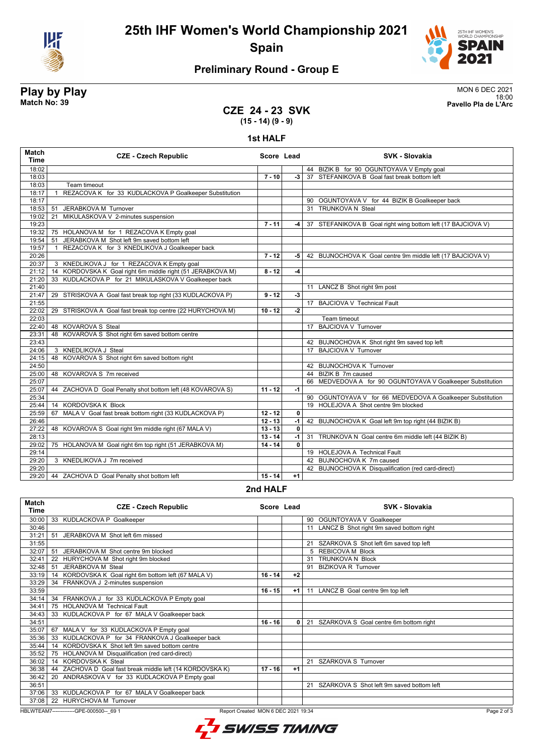

**25th IHF Women's World Championship 2021 Spain**



## **Preliminary Round - Group E**

**Play by Play**<br>MON 6 DEC 2021<br>Pavello Pla de L'Arc 18:00 **Match No: 39 Pavello Pla de L'Arc**

## **CZE 24 - 23 SVK (15 - 14) (9 - 9)**

### **1st HALF**

| 18:02<br>44 BIZIK B for 90 OGUNTOYAVA V Empty goal<br>18:03<br>37 STEFANIKOVA B Goal fast break bottom left<br>$7 - 10$<br>$-3$<br>18:03<br>Team timeout<br>18:17<br>REZACOVA K for 33 KUDLACKOVA P Goalkeeper Substitution<br>$\mathbf{1}$<br>18:17<br>90 OGUNTOYAVA V for 44 BIZIK B Goalkeeper back<br>18:53<br>JERABKOVA M Turnover<br>31 TRUNKOVA N Steal<br>51<br>MIKULASKOVA V 2-minutes suspension<br>19:02<br>21<br>19:23<br>$7 - 11$<br>37 STEFANIKOVA B Goal right wing bottom left (17 BAJCIOVA V)<br>$-4$<br>19:32<br>75 HOLANOVA M for 1 REZACOVA K Empty goal<br>JERABKOVA M Shot left 9m saved bottom left<br>19:54<br>51<br>19:57<br>REZACOVA K for 3 KNEDLIKOVA J Goalkeeper back<br>$\mathbf{1}$<br>20:26<br>$7 - 12$<br>-5 I<br>42 BUJNOCHOVA K Goal centre 9m middle left (17 BAJCIOVA V)<br>20:37<br>3 KNEDLIKOVA J for 1 REZACOVA K Empty goal<br>KORDOVSKA K Goal right 6m middle right (51 JERABKOVA M)<br>$8 - 12$<br>21:12<br>$-4$<br>14<br>33 KUDLACKOVA P for 21 MIKULASKOVA V Goalkeeper back<br>21:20<br>21:40<br>11 LANCZ B Shot right 9m post<br>-3<br>21:47<br>29 STRISKOVA A Goal fast break top right (33 KUDLACKOVA P)<br>$9 - 12$<br>21:55<br>17 BAJCIOVA V Technical Fault<br>$-2$<br>22:02<br>29 STRISKOVA A Goal fast break top centre (22 HURYCHOVA M)<br>$10 - 12$<br>22:03<br>Team timeout<br>17 BAJCIOVA V Turnover<br>22:40<br>48 KOVAROVA S Steal<br>48 KOVAROVA S Shot right 6m saved bottom centre<br>23:31<br>23:43<br>42 BUJNOCHOVA K Shot right 9m saved top left<br>17 BAJCIOVA V Turnover<br>24:06<br>3 KNEDLIKOVA J Steal<br>48 KOVAROVA S Shot right 6m saved bottom right<br>24:15<br>24:50<br>42 BUJNOCHOVA K Turnover<br>48 KOVAROVA S 7m received<br>44 BIZIK B 7m caused<br>25:00<br>25:07<br>66 MEDVEDOVA A for 90 OGUNTOYAVA V Goalkeeper Substitution<br>25:07<br>$11 - 12$<br>ZACHOVA D Goal Penalty shot bottom left (48 KOVAROVA S)<br>$-1$<br>44<br>25:34<br>90 OGUNTOYAVA V for 66 MEDVEDOVA A Goalkeeper Substitution<br>KORDOVSKA K Block<br>19 HOLEJOVA A Shot centre 9m blocked<br>25:44<br>14<br>$12 - 12$<br>25:59<br>MALA V Goal fast break bottom right (33 KUDLACKOVA P)<br>0<br>67<br>26:46<br>$12 - 13$<br>$-1$<br>42 BUJNOCHOVA K Goal left 9m top right (44 BIZIK B)<br>27:22<br>48 KOVAROVA S Goal right 9m middle right (67 MALA V)<br>$13 - 13$<br>$\mathbf{0}$<br>28:13<br>$13 - 14$<br>$-1$<br>31 TRUNKOVA N Goal centre 6m middle left (44 BIZIK B)<br>29:02<br>75 HOLANOVA M Goal right 6m top right (51 JERABKOVA M)<br>$14 - 14$<br>$\mathbf{0}$<br>29:14<br>19 HOLEJOVA A Technical Fault<br>42 BUJNOCHOVA K 7m caused<br>29:20<br>3 KNEDLIKOVA J 7m received<br>29:20<br>42 BUJNOCHOVA K Disqualification (red card-direct) | <b>Match</b><br><b>Time</b> | <b>CZE - Czech Republic</b>                | Score Lead |      | <b>SVK - Slovakia</b> |
|--------------------------------------------------------------------------------------------------------------------------------------------------------------------------------------------------------------------------------------------------------------------------------------------------------------------------------------------------------------------------------------------------------------------------------------------------------------------------------------------------------------------------------------------------------------------------------------------------------------------------------------------------------------------------------------------------------------------------------------------------------------------------------------------------------------------------------------------------------------------------------------------------------------------------------------------------------------------------------------------------------------------------------------------------------------------------------------------------------------------------------------------------------------------------------------------------------------------------------------------------------------------------------------------------------------------------------------------------------------------------------------------------------------------------------------------------------------------------------------------------------------------------------------------------------------------------------------------------------------------------------------------------------------------------------------------------------------------------------------------------------------------------------------------------------------------------------------------------------------------------------------------------------------------------------------------------------------------------------------------------------------------------------------------------------------------------------------------------------------------------------------------------------------------------------------------------------------------------------------------------------------------------------------------------------------------------------------------------------------------------------------------------------------------------------------------------------------------------------------------------------------------------------------------------------------------------------------------------------------------------------------------------------------------------------------------------------------------------|-----------------------------|--------------------------------------------|------------|------|-----------------------|
|                                                                                                                                                                                                                                                                                                                                                                                                                                                                                                                                                                                                                                                                                                                                                                                                                                                                                                                                                                                                                                                                                                                                                                                                                                                                                                                                                                                                                                                                                                                                                                                                                                                                                                                                                                                                                                                                                                                                                                                                                                                                                                                                                                                                                                                                                                                                                                                                                                                                                                                                                                                                                                                                                                                          |                             |                                            |            |      |                       |
|                                                                                                                                                                                                                                                                                                                                                                                                                                                                                                                                                                                                                                                                                                                                                                                                                                                                                                                                                                                                                                                                                                                                                                                                                                                                                                                                                                                                                                                                                                                                                                                                                                                                                                                                                                                                                                                                                                                                                                                                                                                                                                                                                                                                                                                                                                                                                                                                                                                                                                                                                                                                                                                                                                                          |                             |                                            |            |      |                       |
|                                                                                                                                                                                                                                                                                                                                                                                                                                                                                                                                                                                                                                                                                                                                                                                                                                                                                                                                                                                                                                                                                                                                                                                                                                                                                                                                                                                                                                                                                                                                                                                                                                                                                                                                                                                                                                                                                                                                                                                                                                                                                                                                                                                                                                                                                                                                                                                                                                                                                                                                                                                                                                                                                                                          |                             |                                            |            |      |                       |
|                                                                                                                                                                                                                                                                                                                                                                                                                                                                                                                                                                                                                                                                                                                                                                                                                                                                                                                                                                                                                                                                                                                                                                                                                                                                                                                                                                                                                                                                                                                                                                                                                                                                                                                                                                                                                                                                                                                                                                                                                                                                                                                                                                                                                                                                                                                                                                                                                                                                                                                                                                                                                                                                                                                          |                             |                                            |            |      |                       |
|                                                                                                                                                                                                                                                                                                                                                                                                                                                                                                                                                                                                                                                                                                                                                                                                                                                                                                                                                                                                                                                                                                                                                                                                                                                                                                                                                                                                                                                                                                                                                                                                                                                                                                                                                                                                                                                                                                                                                                                                                                                                                                                                                                                                                                                                                                                                                                                                                                                                                                                                                                                                                                                                                                                          |                             |                                            |            |      |                       |
|                                                                                                                                                                                                                                                                                                                                                                                                                                                                                                                                                                                                                                                                                                                                                                                                                                                                                                                                                                                                                                                                                                                                                                                                                                                                                                                                                                                                                                                                                                                                                                                                                                                                                                                                                                                                                                                                                                                                                                                                                                                                                                                                                                                                                                                                                                                                                                                                                                                                                                                                                                                                                                                                                                                          |                             |                                            |            |      |                       |
|                                                                                                                                                                                                                                                                                                                                                                                                                                                                                                                                                                                                                                                                                                                                                                                                                                                                                                                                                                                                                                                                                                                                                                                                                                                                                                                                                                                                                                                                                                                                                                                                                                                                                                                                                                                                                                                                                                                                                                                                                                                                                                                                                                                                                                                                                                                                                                                                                                                                                                                                                                                                                                                                                                                          |                             |                                            |            |      |                       |
|                                                                                                                                                                                                                                                                                                                                                                                                                                                                                                                                                                                                                                                                                                                                                                                                                                                                                                                                                                                                                                                                                                                                                                                                                                                                                                                                                                                                                                                                                                                                                                                                                                                                                                                                                                                                                                                                                                                                                                                                                                                                                                                                                                                                                                                                                                                                                                                                                                                                                                                                                                                                                                                                                                                          |                             |                                            |            |      |                       |
|                                                                                                                                                                                                                                                                                                                                                                                                                                                                                                                                                                                                                                                                                                                                                                                                                                                                                                                                                                                                                                                                                                                                                                                                                                                                                                                                                                                                                                                                                                                                                                                                                                                                                                                                                                                                                                                                                                                                                                                                                                                                                                                                                                                                                                                                                                                                                                                                                                                                                                                                                                                                                                                                                                                          |                             |                                            |            |      |                       |
|                                                                                                                                                                                                                                                                                                                                                                                                                                                                                                                                                                                                                                                                                                                                                                                                                                                                                                                                                                                                                                                                                                                                                                                                                                                                                                                                                                                                                                                                                                                                                                                                                                                                                                                                                                                                                                                                                                                                                                                                                                                                                                                                                                                                                                                                                                                                                                                                                                                                                                                                                                                                                                                                                                                          |                             |                                            |            |      |                       |
|                                                                                                                                                                                                                                                                                                                                                                                                                                                                                                                                                                                                                                                                                                                                                                                                                                                                                                                                                                                                                                                                                                                                                                                                                                                                                                                                                                                                                                                                                                                                                                                                                                                                                                                                                                                                                                                                                                                                                                                                                                                                                                                                                                                                                                                                                                                                                                                                                                                                                                                                                                                                                                                                                                                          |                             |                                            |            |      |                       |
|                                                                                                                                                                                                                                                                                                                                                                                                                                                                                                                                                                                                                                                                                                                                                                                                                                                                                                                                                                                                                                                                                                                                                                                                                                                                                                                                                                                                                                                                                                                                                                                                                                                                                                                                                                                                                                                                                                                                                                                                                                                                                                                                                                                                                                                                                                                                                                                                                                                                                                                                                                                                                                                                                                                          |                             |                                            |            |      |                       |
|                                                                                                                                                                                                                                                                                                                                                                                                                                                                                                                                                                                                                                                                                                                                                                                                                                                                                                                                                                                                                                                                                                                                                                                                                                                                                                                                                                                                                                                                                                                                                                                                                                                                                                                                                                                                                                                                                                                                                                                                                                                                                                                                                                                                                                                                                                                                                                                                                                                                                                                                                                                                                                                                                                                          |                             |                                            |            |      |                       |
|                                                                                                                                                                                                                                                                                                                                                                                                                                                                                                                                                                                                                                                                                                                                                                                                                                                                                                                                                                                                                                                                                                                                                                                                                                                                                                                                                                                                                                                                                                                                                                                                                                                                                                                                                                                                                                                                                                                                                                                                                                                                                                                                                                                                                                                                                                                                                                                                                                                                                                                                                                                                                                                                                                                          |                             |                                            |            |      |                       |
|                                                                                                                                                                                                                                                                                                                                                                                                                                                                                                                                                                                                                                                                                                                                                                                                                                                                                                                                                                                                                                                                                                                                                                                                                                                                                                                                                                                                                                                                                                                                                                                                                                                                                                                                                                                                                                                                                                                                                                                                                                                                                                                                                                                                                                                                                                                                                                                                                                                                                                                                                                                                                                                                                                                          |                             |                                            |            |      |                       |
|                                                                                                                                                                                                                                                                                                                                                                                                                                                                                                                                                                                                                                                                                                                                                                                                                                                                                                                                                                                                                                                                                                                                                                                                                                                                                                                                                                                                                                                                                                                                                                                                                                                                                                                                                                                                                                                                                                                                                                                                                                                                                                                                                                                                                                                                                                                                                                                                                                                                                                                                                                                                                                                                                                                          |                             |                                            |            |      |                       |
|                                                                                                                                                                                                                                                                                                                                                                                                                                                                                                                                                                                                                                                                                                                                                                                                                                                                                                                                                                                                                                                                                                                                                                                                                                                                                                                                                                                                                                                                                                                                                                                                                                                                                                                                                                                                                                                                                                                                                                                                                                                                                                                                                                                                                                                                                                                                                                                                                                                                                                                                                                                                                                                                                                                          |                             |                                            |            |      |                       |
|                                                                                                                                                                                                                                                                                                                                                                                                                                                                                                                                                                                                                                                                                                                                                                                                                                                                                                                                                                                                                                                                                                                                                                                                                                                                                                                                                                                                                                                                                                                                                                                                                                                                                                                                                                                                                                                                                                                                                                                                                                                                                                                                                                                                                                                                                                                                                                                                                                                                                                                                                                                                                                                                                                                          |                             |                                            |            |      |                       |
|                                                                                                                                                                                                                                                                                                                                                                                                                                                                                                                                                                                                                                                                                                                                                                                                                                                                                                                                                                                                                                                                                                                                                                                                                                                                                                                                                                                                                                                                                                                                                                                                                                                                                                                                                                                                                                                                                                                                                                                                                                                                                                                                                                                                                                                                                                                                                                                                                                                                                                                                                                                                                                                                                                                          |                             |                                            |            |      |                       |
|                                                                                                                                                                                                                                                                                                                                                                                                                                                                                                                                                                                                                                                                                                                                                                                                                                                                                                                                                                                                                                                                                                                                                                                                                                                                                                                                                                                                                                                                                                                                                                                                                                                                                                                                                                                                                                                                                                                                                                                                                                                                                                                                                                                                                                                                                                                                                                                                                                                                                                                                                                                                                                                                                                                          |                             |                                            |            |      |                       |
|                                                                                                                                                                                                                                                                                                                                                                                                                                                                                                                                                                                                                                                                                                                                                                                                                                                                                                                                                                                                                                                                                                                                                                                                                                                                                                                                                                                                                                                                                                                                                                                                                                                                                                                                                                                                                                                                                                                                                                                                                                                                                                                                                                                                                                                                                                                                                                                                                                                                                                                                                                                                                                                                                                                          |                             |                                            |            |      |                       |
|                                                                                                                                                                                                                                                                                                                                                                                                                                                                                                                                                                                                                                                                                                                                                                                                                                                                                                                                                                                                                                                                                                                                                                                                                                                                                                                                                                                                                                                                                                                                                                                                                                                                                                                                                                                                                                                                                                                                                                                                                                                                                                                                                                                                                                                                                                                                                                                                                                                                                                                                                                                                                                                                                                                          |                             |                                            |            |      |                       |
|                                                                                                                                                                                                                                                                                                                                                                                                                                                                                                                                                                                                                                                                                                                                                                                                                                                                                                                                                                                                                                                                                                                                                                                                                                                                                                                                                                                                                                                                                                                                                                                                                                                                                                                                                                                                                                                                                                                                                                                                                                                                                                                                                                                                                                                                                                                                                                                                                                                                                                                                                                                                                                                                                                                          |                             |                                            |            |      |                       |
|                                                                                                                                                                                                                                                                                                                                                                                                                                                                                                                                                                                                                                                                                                                                                                                                                                                                                                                                                                                                                                                                                                                                                                                                                                                                                                                                                                                                                                                                                                                                                                                                                                                                                                                                                                                                                                                                                                                                                                                                                                                                                                                                                                                                                                                                                                                                                                                                                                                                                                                                                                                                                                                                                                                          |                             |                                            |            |      |                       |
|                                                                                                                                                                                                                                                                                                                                                                                                                                                                                                                                                                                                                                                                                                                                                                                                                                                                                                                                                                                                                                                                                                                                                                                                                                                                                                                                                                                                                                                                                                                                                                                                                                                                                                                                                                                                                                                                                                                                                                                                                                                                                                                                                                                                                                                                                                                                                                                                                                                                                                                                                                                                                                                                                                                          |                             |                                            |            |      |                       |
|                                                                                                                                                                                                                                                                                                                                                                                                                                                                                                                                                                                                                                                                                                                                                                                                                                                                                                                                                                                                                                                                                                                                                                                                                                                                                                                                                                                                                                                                                                                                                                                                                                                                                                                                                                                                                                                                                                                                                                                                                                                                                                                                                                                                                                                                                                                                                                                                                                                                                                                                                                                                                                                                                                                          |                             |                                            |            |      |                       |
|                                                                                                                                                                                                                                                                                                                                                                                                                                                                                                                                                                                                                                                                                                                                                                                                                                                                                                                                                                                                                                                                                                                                                                                                                                                                                                                                                                                                                                                                                                                                                                                                                                                                                                                                                                                                                                                                                                                                                                                                                                                                                                                                                                                                                                                                                                                                                                                                                                                                                                                                                                                                                                                                                                                          |                             |                                            |            |      |                       |
|                                                                                                                                                                                                                                                                                                                                                                                                                                                                                                                                                                                                                                                                                                                                                                                                                                                                                                                                                                                                                                                                                                                                                                                                                                                                                                                                                                                                                                                                                                                                                                                                                                                                                                                                                                                                                                                                                                                                                                                                                                                                                                                                                                                                                                                                                                                                                                                                                                                                                                                                                                                                                                                                                                                          |                             |                                            |            |      |                       |
|                                                                                                                                                                                                                                                                                                                                                                                                                                                                                                                                                                                                                                                                                                                                                                                                                                                                                                                                                                                                                                                                                                                                                                                                                                                                                                                                                                                                                                                                                                                                                                                                                                                                                                                                                                                                                                                                                                                                                                                                                                                                                                                                                                                                                                                                                                                                                                                                                                                                                                                                                                                                                                                                                                                          |                             |                                            |            |      |                       |
|                                                                                                                                                                                                                                                                                                                                                                                                                                                                                                                                                                                                                                                                                                                                                                                                                                                                                                                                                                                                                                                                                                                                                                                                                                                                                                                                                                                                                                                                                                                                                                                                                                                                                                                                                                                                                                                                                                                                                                                                                                                                                                                                                                                                                                                                                                                                                                                                                                                                                                                                                                                                                                                                                                                          |                             |                                            |            |      |                       |
|                                                                                                                                                                                                                                                                                                                                                                                                                                                                                                                                                                                                                                                                                                                                                                                                                                                                                                                                                                                                                                                                                                                                                                                                                                                                                                                                                                                                                                                                                                                                                                                                                                                                                                                                                                                                                                                                                                                                                                                                                                                                                                                                                                                                                                                                                                                                                                                                                                                                                                                                                                                                                                                                                                                          |                             |                                            |            |      |                       |
|                                                                                                                                                                                                                                                                                                                                                                                                                                                                                                                                                                                                                                                                                                                                                                                                                                                                                                                                                                                                                                                                                                                                                                                                                                                                                                                                                                                                                                                                                                                                                                                                                                                                                                                                                                                                                                                                                                                                                                                                                                                                                                                                                                                                                                                                                                                                                                                                                                                                                                                                                                                                                                                                                                                          |                             |                                            |            |      |                       |
|                                                                                                                                                                                                                                                                                                                                                                                                                                                                                                                                                                                                                                                                                                                                                                                                                                                                                                                                                                                                                                                                                                                                                                                                                                                                                                                                                                                                                                                                                                                                                                                                                                                                                                                                                                                                                                                                                                                                                                                                                                                                                                                                                                                                                                                                                                                                                                                                                                                                                                                                                                                                                                                                                                                          |                             |                                            |            |      |                       |
|                                                                                                                                                                                                                                                                                                                                                                                                                                                                                                                                                                                                                                                                                                                                                                                                                                                                                                                                                                                                                                                                                                                                                                                                                                                                                                                                                                                                                                                                                                                                                                                                                                                                                                                                                                                                                                                                                                                                                                                                                                                                                                                                                                                                                                                                                                                                                                                                                                                                                                                                                                                                                                                                                                                          |                             |                                            |            |      |                       |
|                                                                                                                                                                                                                                                                                                                                                                                                                                                                                                                                                                                                                                                                                                                                                                                                                                                                                                                                                                                                                                                                                                                                                                                                                                                                                                                                                                                                                                                                                                                                                                                                                                                                                                                                                                                                                                                                                                                                                                                                                                                                                                                                                                                                                                                                                                                                                                                                                                                                                                                                                                                                                                                                                                                          |                             |                                            |            |      |                       |
|                                                                                                                                                                                                                                                                                                                                                                                                                                                                                                                                                                                                                                                                                                                                                                                                                                                                                                                                                                                                                                                                                                                                                                                                                                                                                                                                                                                                                                                                                                                                                                                                                                                                                                                                                                                                                                                                                                                                                                                                                                                                                                                                                                                                                                                                                                                                                                                                                                                                                                                                                                                                                                                                                                                          |                             |                                            |            |      |                       |
|                                                                                                                                                                                                                                                                                                                                                                                                                                                                                                                                                                                                                                                                                                                                                                                                                                                                                                                                                                                                                                                                                                                                                                                                                                                                                                                                                                                                                                                                                                                                                                                                                                                                                                                                                                                                                                                                                                                                                                                                                                                                                                                                                                                                                                                                                                                                                                                                                                                                                                                                                                                                                                                                                                                          |                             |                                            |            |      |                       |
|                                                                                                                                                                                                                                                                                                                                                                                                                                                                                                                                                                                                                                                                                                                                                                                                                                                                                                                                                                                                                                                                                                                                                                                                                                                                                                                                                                                                                                                                                                                                                                                                                                                                                                                                                                                                                                                                                                                                                                                                                                                                                                                                                                                                                                                                                                                                                                                                                                                                                                                                                                                                                                                                                                                          |                             |                                            |            |      |                       |
|                                                                                                                                                                                                                                                                                                                                                                                                                                                                                                                                                                                                                                                                                                                                                                                                                                                                                                                                                                                                                                                                                                                                                                                                                                                                                                                                                                                                                                                                                                                                                                                                                                                                                                                                                                                                                                                                                                                                                                                                                                                                                                                                                                                                                                                                                                                                                                                                                                                                                                                                                                                                                                                                                                                          |                             |                                            |            |      |                       |
|                                                                                                                                                                                                                                                                                                                                                                                                                                                                                                                                                                                                                                                                                                                                                                                                                                                                                                                                                                                                                                                                                                                                                                                                                                                                                                                                                                                                                                                                                                                                                                                                                                                                                                                                                                                                                                                                                                                                                                                                                                                                                                                                                                                                                                                                                                                                                                                                                                                                                                                                                                                                                                                                                                                          | 29:20                       | 44 ZACHOVA D Goal Penalty shot bottom left | $15 - 14$  | $+1$ |                       |

### **2nd HALF**

| <b>Match</b><br>Time                                                                           | <b>CZE - Czech Republic</b>                                  | Score Lead |      | <b>SVK - Slovakia</b>                        |
|------------------------------------------------------------------------------------------------|--------------------------------------------------------------|------------|------|----------------------------------------------|
| 30:00                                                                                          | 33 KUDLACKOVA P Goalkeeper                                   |            |      | 90 OGUNTOYAVA V Goalkeeper                   |
| 30:46                                                                                          |                                                              |            |      | LANCZ B Shot right 9m saved bottom right     |
| 31:21                                                                                          | 51<br>JERABKOVA M Shot left 6m missed                        |            |      |                                              |
| 31:55                                                                                          |                                                              |            |      | SZARKOVA S Shot left 6m saved top left<br>21 |
| 32:07                                                                                          | JERABKOVA M Shot centre 9m blocked<br>51                     |            |      | <b>REBICOVA M Block</b>                      |
| 32:41                                                                                          | HURYCHOVA M Shot right 9m blocked<br>22                      |            |      | <b>TRUNKOVA N Block</b><br>31                |
| 32:48                                                                                          | JERABKOVA M Steal<br>51                                      |            |      | <b>BIZIKOVA R Turnover</b><br>91             |
| 33:19                                                                                          | 14 KORDOVSKA K Goal right 6m bottom left (67 MALA V)         | $16 - 14$  | $+2$ |                                              |
| 33:29                                                                                          | FRANKOVA J 2-minutes suspension<br>34                        |            |      |                                              |
| 33:59                                                                                          |                                                              | $16 - 15$  | $+1$ | LANCZ B Goal centre 9m top left<br>11        |
| 34:14                                                                                          | 34 FRANKOVA J for 33 KUDLACKOVA P Empty goal                 |            |      |                                              |
| 34:41                                                                                          | 75 HOLANOVA M Technical Fault                                |            |      |                                              |
| 34:43                                                                                          | KUDLACKOVA P for 67 MALA V Goalkeeper back<br>33             |            |      |                                              |
| 34:51                                                                                          |                                                              | $16 - 16$  | 0    | 21 SZARKOVA S Goal centre 6m bottom right    |
| 35:07                                                                                          | MALA V for 33 KUDLACKOVA P Empty goal<br>67                  |            |      |                                              |
| 35:36                                                                                          | 33 KUDLACKOVA P for 34 FRANKOVA J Goalkeeper back            |            |      |                                              |
| 35:44                                                                                          | KORDOVSKA K Shot left 9m saved bottom centre<br>14           |            |      |                                              |
| 35:52                                                                                          | HOLANOVA M Disqualification (red card-direct)<br>75          |            |      |                                              |
| 36:02                                                                                          | 14 KORDOVSKA K Steal                                         |            |      | 21 SZARKOVA S Turnover                       |
| 36:38                                                                                          | ZACHOVA D Goal fast break middle left (14 KORDOVSKA K)<br>44 | $17 - 16$  | $+1$ |                                              |
| 36:42                                                                                          | ANDRASKOVA V for 33 KUDLACKOVA P Empty goal<br>20            |            |      |                                              |
| 36:51                                                                                          |                                                              |            |      | 21 SZARKOVA S Shot left 9m saved bottom left |
| 37:06                                                                                          | 33 KUDLACKOVA P for 67 MALA V Goalkeeper back                |            |      |                                              |
| 37:08                                                                                          | 22 HURYCHOVA M Turnover                                      |            |      |                                              |
| HBLWTEAM7--------------GPE-000500-- 69 1<br>Page 2 of 3<br>Report Created MON 6 DEC 2021 19:34 |                                                              |            |      |                                              |